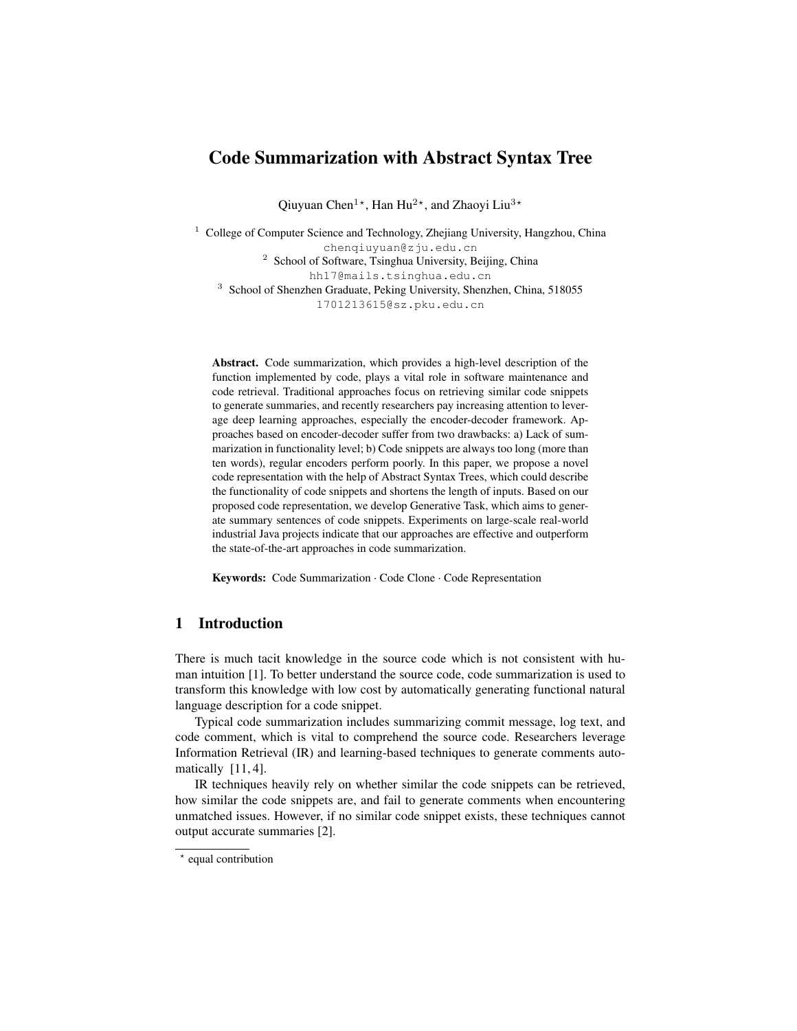# Code Summarization with Abstract Syntax Tree

Qiuyuan Chen<sup>1\*</sup>, Han Hu<sup>2\*</sup>, and Zhaoyi Liu<sup>3\*</sup>

<sup>1</sup> College of Computer Science and Technology, Zhejiang University, Hangzhou, China chenqiuyuan@zju.edu.cn <sup>2</sup> School of Software, Tsinghua University, Beijing, China hh17@mails.tsinghua.edu.cn <sup>3</sup> School of Shenzhen Graduate, Peking University, Shenzhen, China, 518055 1701213615@sz.pku.edu.cn

Abstract. Code summarization, which provides a high-level description of the function implemented by code, plays a vital role in software maintenance and code retrieval. Traditional approaches focus on retrieving similar code snippets to generate summaries, and recently researchers pay increasing attention to leverage deep learning approaches, especially the encoder-decoder framework. Approaches based on encoder-decoder suffer from two drawbacks: a) Lack of summarization in functionality level; b) Code snippets are always too long (more than ten words), regular encoders perform poorly. In this paper, we propose a novel code representation with the help of Abstract Syntax Trees, which could describe the functionality of code snippets and shortens the length of inputs. Based on our proposed code representation, we develop Generative Task, which aims to generate summary sentences of code snippets. Experiments on large-scale real-world industrial Java projects indicate that our approaches are effective and outperform the state-of-the-art approaches in code summarization.

Keywords: Code Summarization · Code Clone · Code Representation

## 1 Introduction

There is much tacit knowledge in the source code which is not consistent with human intuition [1]. To better understand the source code, code summarization is used to transform this knowledge with low cost by automatically generating functional natural language description for a code snippet.

Typical code summarization includes summarizing commit message, log text, and code comment, which is vital to comprehend the source code. Researchers leverage Information Retrieval (IR) and learning-based techniques to generate comments automatically [11, 4].

IR techniques heavily rely on whether similar the code snippets can be retrieved, how similar the code snippets are, and fail to generate comments when encountering unmatched issues. However, if no similar code snippet exists, these techniques cannot output accurate summaries [2].

<sup>\*</sup> equal contribution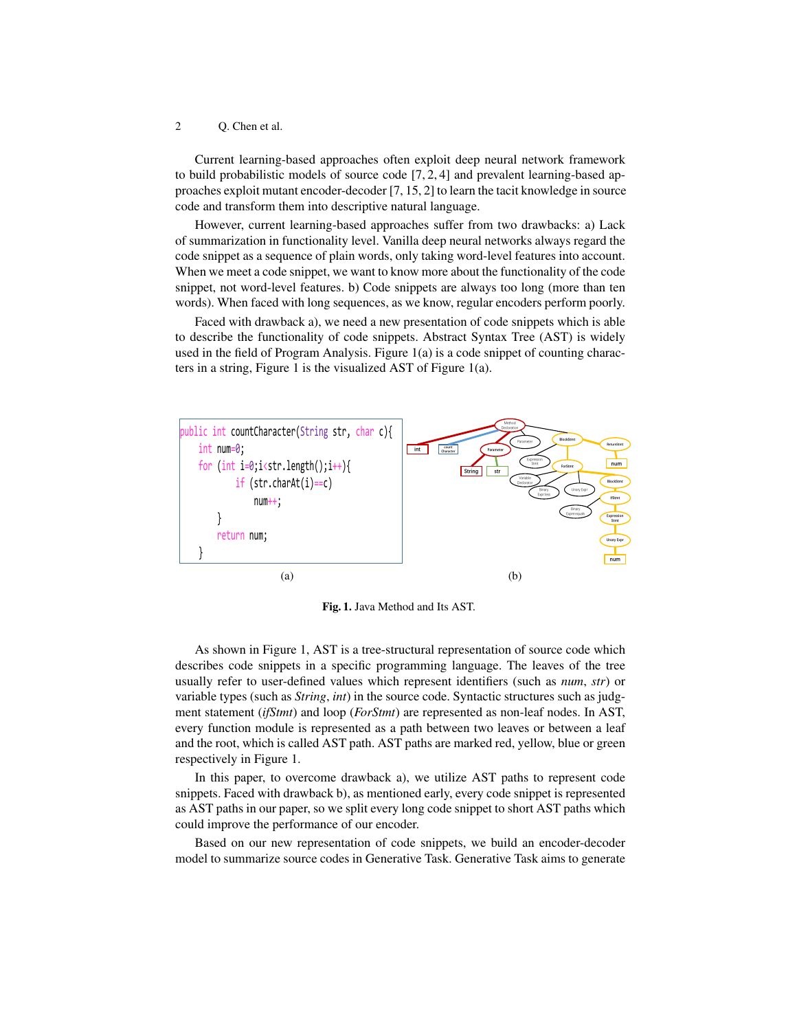Current learning-based approaches often exploit deep neural network framework to build probabilistic models of source code [7, 2, 4] and prevalent learning-based approaches exploit mutant encoder-decoder [7, 15, 2] to learn the tacit knowledge in source code and transform them into descriptive natural language.

However, current learning-based approaches suffer from two drawbacks: a) Lack of summarization in functionality level. Vanilla deep neural networks always regard the code snippet as a sequence of plain words, only taking word-level features into account. When we meet a code snippet, we want to know more about the functionality of the code snippet, not word-level features. b) Code snippets are always too long (more than ten words). When faced with long sequences, as we know, regular encoders perform poorly.

Faced with drawback a), we need a new presentation of code snippets which is able to describe the functionality of code snippets. Abstract Syntax Tree (AST) is widely used in the field of Program Analysis. Figure 1(a) is a code snippet of counting characters in a string, Figure 1 is the visualized AST of Figure 1(a).



Fig. 1. Java Method and Its AST.

As shown in Figure 1, AST is a tree-structural representation of source code which describes code snippets in a specific programming language. The leaves of the tree usually refer to user-defined values which represent identifiers (such as *num*, *str*) or variable types (such as *String*, *int*) in the source code. Syntactic structures such as judgment statement (*ifStmt*) and loop (*ForStmt*) are represented as non-leaf nodes. In AST, every function module is represented as a path between two leaves or between a leaf and the root, which is called AST path. AST paths are marked red, yellow, blue or green respectively in Figure 1.

In this paper, to overcome drawback a), we utilize AST paths to represent code snippets. Faced with drawback b), as mentioned early, every code snippet is represented as AST paths in our paper, so we split every long code snippet to short AST paths which could improve the performance of our encoder.

Based on our new representation of code snippets, we build an encoder-decoder model to summarize source codes in Generative Task. Generative Task aims to generate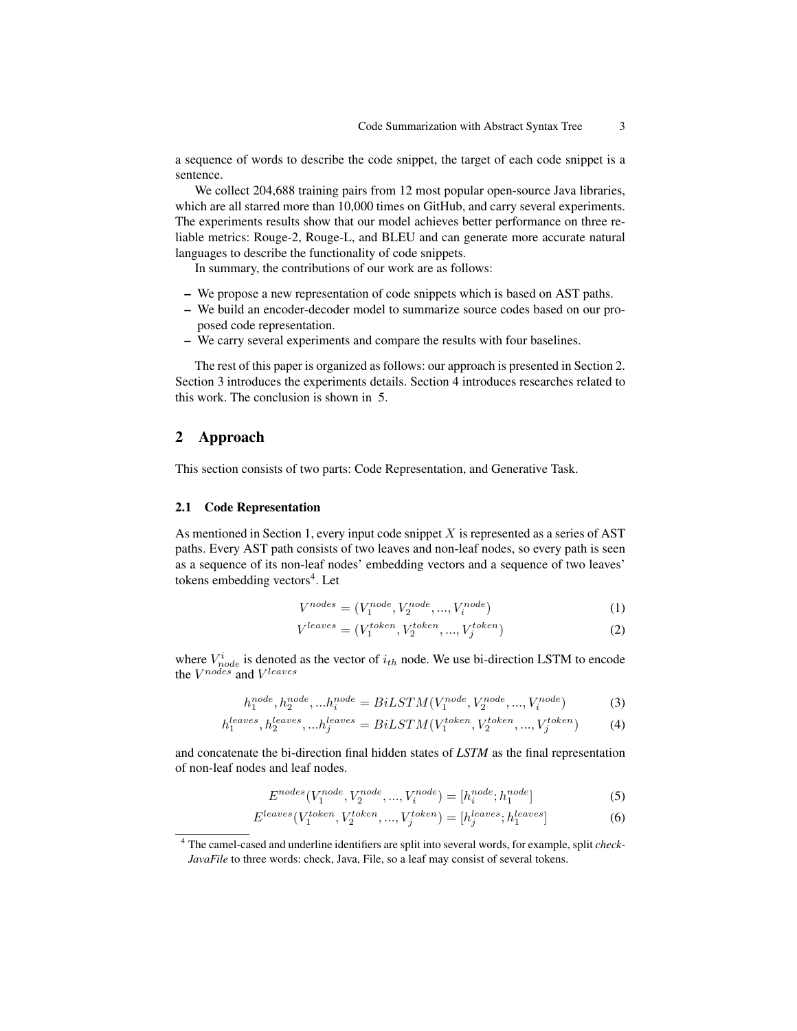a sequence of words to describe the code snippet, the target of each code snippet is a sentence.

We collect 204,688 training pairs from 12 most popular open-source Java libraries, which are all starred more than 10,000 times on GitHub, and carry several experiments. The experiments results show that our model achieves better performance on three reliable metrics: Rouge-2, Rouge-L, and BLEU and can generate more accurate natural languages to describe the functionality of code snippets.

In summary, the contributions of our work are as follows:

- We propose a new representation of code snippets which is based on AST paths.
- We build an encoder-decoder model to summarize source codes based on our proposed code representation.
- We carry several experiments and compare the results with four baselines.

The rest of this paper is organized as follows: our approach is presented in Section 2. Section 3 introduces the experiments details. Section 4 introduces researches related to this work. The conclusion is shown in 5.

## 2 Approach

This section consists of two parts: Code Representation, and Generative Task.

### 2.1 Code Representation

As mentioned in Section 1, every input code snippet  $X$  is represented as a series of AST paths. Every AST path consists of two leaves and non-leaf nodes, so every path is seen as a sequence of its non-leaf nodes' embedding vectors and a sequence of two leaves' tokens embedding vectors<sup>4</sup>. Let

$$
V^{nodes} = (V_1^{node}, V_2^{node}, ..., V_i^{node})
$$
\n(1)

$$
V^{leaves} = (V_1^{token}, V_2^{token}, ..., V_j^{token})
$$
\n
$$
(2)
$$

where  $V_{node}^i$  is denoted as the vector of  $i_{th}$  node. We use bi-direction LSTM to encode the  $V^{nodes}$  and  $V^{leaves}$ 

$$
h_1^{node}, h_2^{node}, \dots, h_i^{node} = BiLSTM(V_1^{node}, V_2^{node}, \dots, V_i^{node})
$$
 (3)

$$
h_1^{leaves}, h_2^{leaves}, \dots h_j^{leaves} = BiLSTM(V_1^{token}, V_2^{token}, \dots, V_j^{token})
$$
 (4)

and concatenate the bi-direction final hidden states of *LSTM* as the final representation of non-leaf nodes and leaf nodes.

$$
E^{nodes}(V_1^{node}, V_2^{node}, ..., V_i^{node}) = [h_i^{node}; h_1^{node}]
$$
\n(5)

$$
E^{leaves}(V_1^{token}, V_2^{token}, ..., V_j^{token}) = [h_j^{leaves}; h_1^{leaves}]
$$
\n(6)

<sup>4</sup> The camel-cased and underline identifiers are split into several words, for example, split *check-JavaFile* to three words: check, Java, File, so a leaf may consist of several tokens.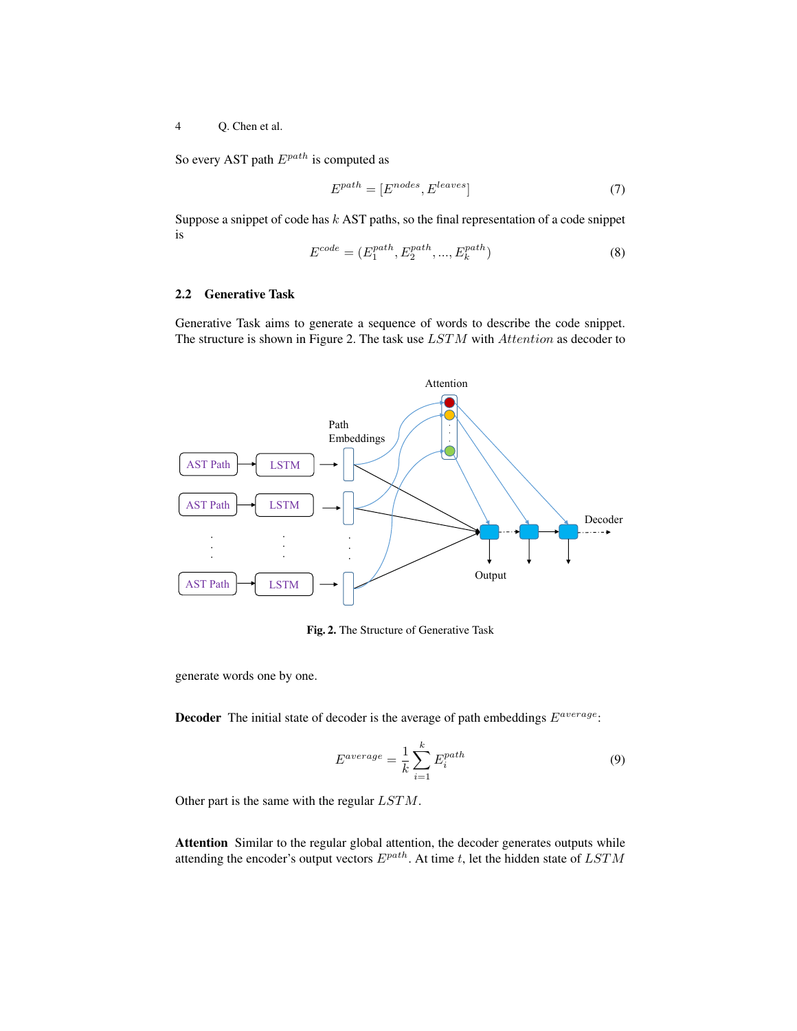So every AST path  $E^{path}$  is computed as

$$
E^{path} = [E^{nodes}, E^{leaves}]
$$
\n(7)

Suppose a snippet of code has  $k$  AST paths, so the final representation of a code snippet is

$$
E^{code} = (E_1^{path}, E_2^{path}, \dots, E_k^{path})
$$
\n
$$
(8)
$$

## 2.2 Generative Task

Generative Task aims to generate a sequence of words to describe the code snippet. The structure is shown in Figure 2. The task use  $LSTM$  with  $Attention$  as decoder to



Fig. 2. The Structure of Generative Task

generate words one by one.

**Decoder** The initial state of decoder is the average of path embeddings  $E^{average}$ :

$$
E^{average} = \frac{1}{k} \sum_{i=1}^{k} E_i^{path}
$$
 (9)

Other part is the same with the regular LSTM.

Attention Similar to the regular global attention, the decoder generates outputs while attending the encoder's output vectors  $E^{path}$ . At time t, let the hidden state of  $LSTM$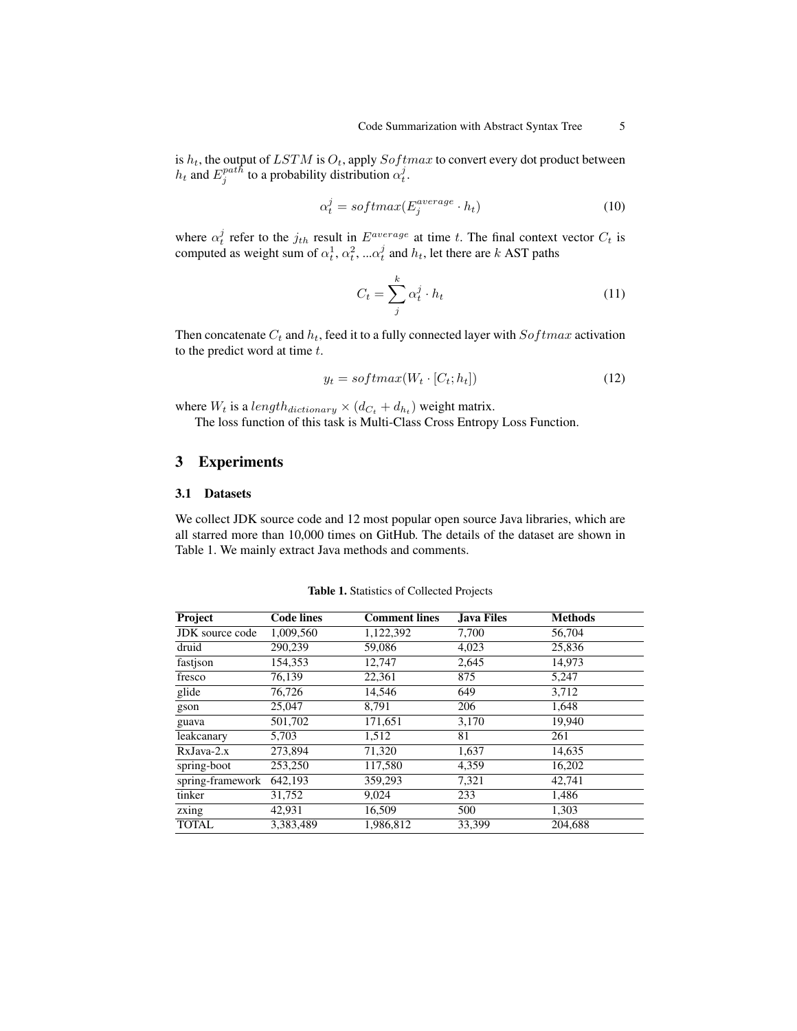is  $h_t$ , the output of  $LSTM$  is  $O_t$ , apply  $Softmax$  to convert every dot product between  $h_t$  and  $E_j^{path}$  to a probability distribution  $\alpha_t^j$ .

$$
\alpha_t^j = softmax(E_j^{average} \cdot h_t) \tag{10}
$$

where  $\alpha_t^j$  refer to the  $j_{th}$  result in  $E^{average}$  at time t. The final context vector  $C_t$  is computed as weight sum of  $\alpha_t^1, \alpha_t^2, ... \alpha_t^j$  and  $h_t$ , let there are k AST paths

$$
C_t = \sum_{j}^{k} \alpha_t^j \cdot h_t \tag{11}
$$

Then concatenate  $C_t$  and  $h_t$ , feed it to a fully connected layer with  $Softmax$  activation to the predict word at time  $t$ .

$$
y_t = softmax(W_t \cdot [C_t; h_t]) \tag{12}
$$

where  $W_t$  is a  $length_{dictionary} \times (d_{C_t} + d_{h_t})$  weight matrix.

The loss function of this task is Multi-Class Cross Entropy Loss Function.

## 3 Experiments

#### 3.1 Datasets

We collect JDK source code and 12 most popular open source Java libraries, which are all starred more than 10,000 times on GitHub. The details of the dataset are shown in Table 1. We mainly extract Java methods and comments.

| Project                | <b>Code lines</b> | <b>Comment lines</b> | Java Files | <b>Methods</b> |
|------------------------|-------------------|----------------------|------------|----------------|
| <b>JDK</b> source code | 1,009,560         | 1,122,392            | 7,700      | 56,704         |
| druid                  | 290,239           | 59,086               | 4,023      | 25,836         |
| fastison               | 154,353           | 12,747               | 2,645      | 14,973         |
| fresco                 | 76,139            | 22,361               | 875        | 5,247          |
| glide                  | 76,726            | 14,546               | 649        | 3,712          |
| gson                   | 25,047            | 8.791                | 206        | 1,648          |
| guava                  | 501,702           | 171,651              | 3,170      | 19,940         |
| leakcanary             | 5,703             | 1,512                | 81         | 261            |
| $RxJava-2.x$           | 273,894           | 71,320               | 1,637      | 14,635         |
| spring-boot            | 253,250           | 117,580              | 4,359      | 16,202         |
| spring-framework       | 642,193           | 359,293              | 7,321      | 42,741         |
| tinker                 | 31,752            | 9,024                | 233        | 1,486          |
| zxing                  | 42,931            | 16,509               | 500        | 1,303          |
| <b>TOTAL</b>           | 3,383,489         | 1,986,812            | 33.399     | 204.688        |

Table 1. Statistics of Collected Projects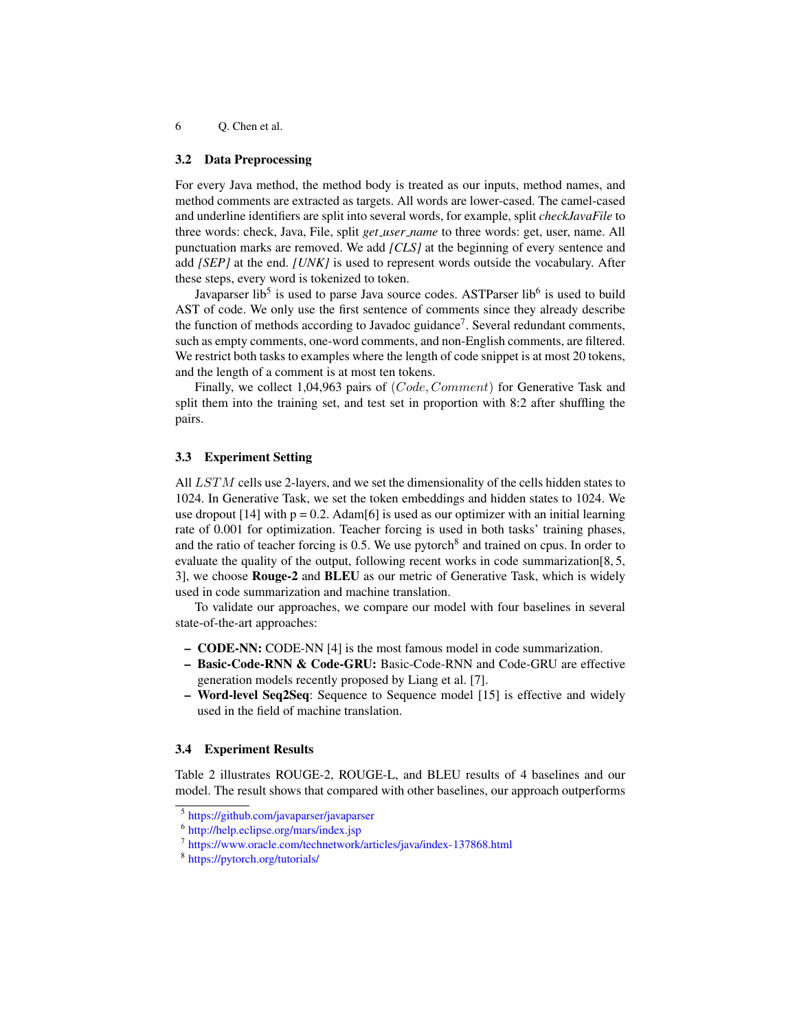#### 3.2 Data Preprocessing

For every Java method, the method body is treated as our inputs, method names, and method comments are extracted as targets. All words are lower-cased. The camel-cased and underline identifiers are split into several words, for example, split *checkJavaFile* to three words: check, Java, File, split *get user name* to three words: get, user, name. All punctuation marks are removed. We add *[CLS]* at the beginning of every sentence and add *[SEP]* at the end. *[UNK]* is used to represent words outside the vocabulary. After these steps, every word is tokenized to token.

Javaparser lib<sup>5</sup> is used to parse Java source codes. ASTParser lib<sup>6</sup> is used to build AST of code. We only use the first sentence of comments since they already describe the function of methods according to Javadoc guidance<sup>7</sup>. Several redundant comments, such as empty comments, one-word comments, and non-English comments, are filtered. We restrict both tasks to examples where the length of code snippet is at most 20 tokens, and the length of a comment is at most ten tokens.

Finally, we collect 1,04,963 pairs of (Code, Comment) for Generative Task and split them into the training set, and test set in proportion with 8:2 after shuffling the pairs.

### 3.3 Experiment Setting

All LSTM cells use 2-layers, and we set the dimensionality of the cells hidden states to 1024. In Generative Task, we set the token embeddings and hidden states to 1024. We use dropout [14] with  $p = 0.2$ . Adam[6] is used as our optimizer with an initial learning rate of 0.001 for optimization. Teacher forcing is used in both tasks' training phases, and the ratio of teacher forcing is  $0.5$ . We use pytorch<sup>8</sup> and trained on cpus. In order to evaluate the quality of the output, following recent works in code summarization[8, 5, 3], we choose Rouge-2 and BLEU as our metric of Generative Task, which is widely used in code summarization and machine translation.

To validate our approaches, we compare our model with four baselines in several state-of-the-art approaches:

- CODE-NN: CODE-NN [4] is the most famous model in code summarization.
- Basic-Code-RNN & Code-GRU: Basic-Code-RNN and Code-GRU are effective generation models recently proposed by Liang et al. [7].
- Word-level Seq2Seq: Sequence to Sequence model [15] is effective and widely used in the field of machine translation.

#### 3.4 Experiment Results

Table 2 illustrates ROUGE-2, ROUGE-L, and BLEU results of 4 baselines and our model. The result shows that compared with other baselines, our approach outperforms

<sup>&</sup>lt;sup>5</sup> https://github.com/javaparser/javaparser

<sup>6</sup> http://help.eclipse.org/mars/index.jsp

<sup>7</sup> https://www.oracle.com/technetwork/articles/java/index-137868.html

<sup>8</sup> https://pytorch.org/tutorials/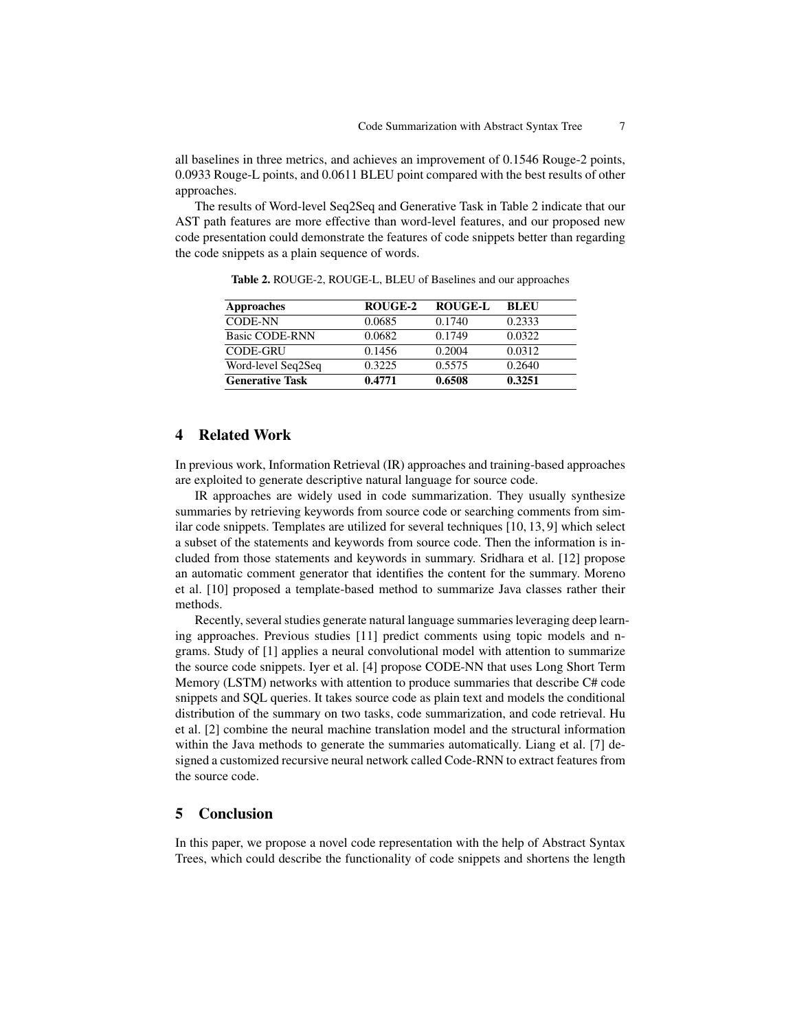all baselines in three metrics, and achieves an improvement of 0.1546 Rouge-2 points, 0.0933 Rouge-L points, and 0.0611 BLEU point compared with the best results of other approaches.

The results of Word-level Seq2Seq and Generative Task in Table 2 indicate that our AST path features are more effective than word-level features, and our proposed new code presentation could demonstrate the features of code snippets better than regarding the code snippets as a plain sequence of words.

| <b>Approaches</b>      | <b>ROUGE-2</b> | <b>ROUGE-L</b> | <b>BLEU</b> |
|------------------------|----------------|----------------|-------------|
| <b>CODE-NN</b>         | 0.0685         | 0.1740         | 0.2333      |
| <b>Basic CODE-RNN</b>  | 0.0682         | 0.1749         | 0.0322      |
| CODE-GRU               | 0.1456         | 0.2004         | 0.0312      |
| Word-level Seq2Seq     | 0.3225         | 0.5575         | 0.2640      |
| <b>Generative Task</b> | 0.4771         | 0.6508         | 0.3251      |

Table 2. ROUGE-2, ROUGE-L, BLEU of Baselines and our approaches

## 4 Related Work

In previous work, Information Retrieval (IR) approaches and training-based approaches are exploited to generate descriptive natural language for source code.

IR approaches are widely used in code summarization. They usually synthesize summaries by retrieving keywords from source code or searching comments from similar code snippets. Templates are utilized for several techniques [10, 13, 9] which select a subset of the statements and keywords from source code. Then the information is included from those statements and keywords in summary. Sridhara et al. [12] propose an automatic comment generator that identifies the content for the summary. Moreno et al. [10] proposed a template-based method to summarize Java classes rather their methods.

Recently, several studies generate natural language summaries leveraging deep learning approaches. Previous studies [11] predict comments using topic models and ngrams. Study of [1] applies a neural convolutional model with attention to summarize the source code snippets. Iyer et al. [4] propose CODE-NN that uses Long Short Term Memory (LSTM) networks with attention to produce summaries that describe C# code snippets and SQL queries. It takes source code as plain text and models the conditional distribution of the summary on two tasks, code summarization, and code retrieval. Hu et al. [2] combine the neural machine translation model and the structural information within the Java methods to generate the summaries automatically. Liang et al. [7] designed a customized recursive neural network called Code-RNN to extract features from the source code.

### 5 Conclusion

In this paper, we propose a novel code representation with the help of Abstract Syntax Trees, which could describe the functionality of code snippets and shortens the length